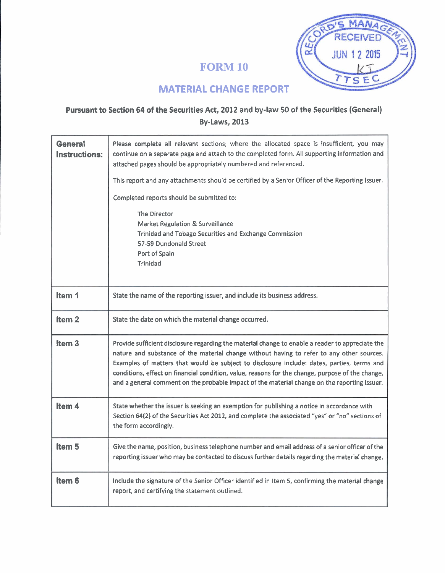# **FORM 10**



# **MATERIAL CHANGE REPORT**

## **Pursuant to Section 64 of the Securities Act, 2012 and by-law 50 of the Securities (General) By-Laws, 2013**

| General<br><b>Instructions:</b> | Please complete all relevant sections; where the allocated space is insufficient, you may<br>continue on a separate page and attach to the completed form. All supporting information and<br>attached pages should be appropriately numbered and referenced.                                                                                                                                                                                                                                    |
|---------------------------------|-------------------------------------------------------------------------------------------------------------------------------------------------------------------------------------------------------------------------------------------------------------------------------------------------------------------------------------------------------------------------------------------------------------------------------------------------------------------------------------------------|
|                                 | This report and any attachments should be certified by a Senior Officer of the Reporting Issuer.                                                                                                                                                                                                                                                                                                                                                                                                |
|                                 | Completed reports should be submitted to:                                                                                                                                                                                                                                                                                                                                                                                                                                                       |
|                                 | The Director<br>Market Regulation & Surveillance<br>Trinidad and Tobago Securities and Exchange Commission<br>57-59 Dundonald Street<br>Port of Spain<br>Trinidad                                                                                                                                                                                                                                                                                                                               |
| Item 1                          | State the name of the reporting issuer, and include its business address.                                                                                                                                                                                                                                                                                                                                                                                                                       |
| Item <sub>2</sub>               | State the date on which the material change occurred.                                                                                                                                                                                                                                                                                                                                                                                                                                           |
| Item <sub>3</sub>               | Provide sufficient disclosure regarding the material change to enable a reader to appreciate the<br>nature and substance of the material change without having to refer to any other sources.<br>Examples of matters that would be subject to disclosure include: dates, parties, terms and<br>conditions, effect on financial condition, value, reasons for the change, purpose of the change,<br>and a general comment on the probable impact of the material change on the reporting issuer. |
| Item 4                          | State whether the issuer is seeking an exemption for publishing a notice in accordance with<br>Section 64(2) of the Securities Act 2012, and complete the associated "yes" or "no" sections of<br>the form accordingly.                                                                                                                                                                                                                                                                         |
| Item <sub>5</sub>               | Give the name, position, business telephone number and email address of a senior officer of the<br>reporting issuer who may be contacted to discuss further details regarding the material change.                                                                                                                                                                                                                                                                                              |
| Item 6                          | Include the signature of the Senior Officer identified in Item 5, confirming the material change<br>report, and certifying the statement outlined.                                                                                                                                                                                                                                                                                                                                              |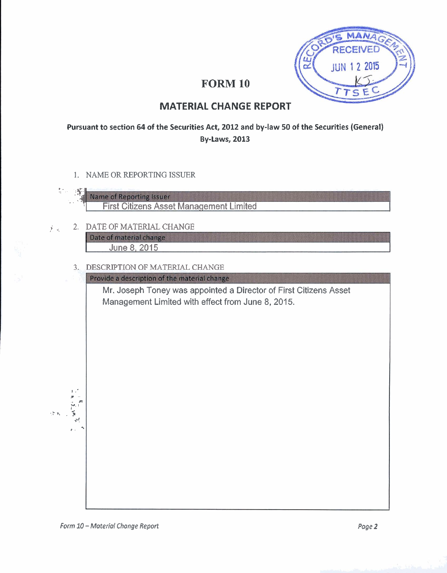

# **FORM 10**

## **MATERIAL CHANGE REPORT**

### Pursuant to section 64 of the Securities Act, 2012 and by-law 50 of the Securities (General) **By-Laws, 2013**

1. NAME OR REPORTING ISSUER



- 2. DATE OF MATERIAL CHANGE 美国 Date of material change June 8, 2015
	- 3. DESCRIPTION OF MATERIAL CHANGE

Provide a description of the material change

Mr. Joseph Toney was appointed a Director of First Citizens Asset Management Limited with effect from June 8, 2015.

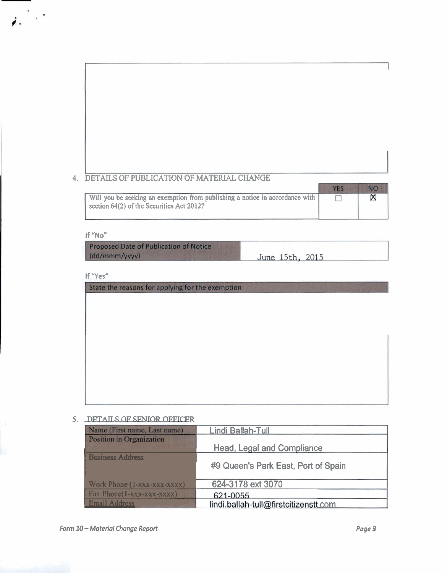## **4. DETAILS OF PUBLICATION OF MATERIAL CHANGE**

| Will you be seeking an exemption from publishing a notice in accordance with<br>section 64(2) of the Securities Act 2012? |  |
|---------------------------------------------------------------------------------------------------------------------------|--|

#### **If "No"**

 $\mu^{(2)}$ 

Proposed Date of Publication of Notice

### **5. DETAn.S OF SENIOR OFFICER**

| (dd/mmm/yyyy)                                    | June 15th, 2015                       |        |
|--------------------------------------------------|---------------------------------------|--------|
|                                                  |                                       |        |
| If "Yes"                                         |                                       |        |
| State the reasons for applying for the exemption |                                       |        |
|                                                  |                                       |        |
|                                                  |                                       |        |
|                                                  |                                       |        |
|                                                  |                                       |        |
|                                                  |                                       |        |
|                                                  |                                       |        |
|                                                  |                                       |        |
|                                                  |                                       |        |
|                                                  |                                       |        |
|                                                  |                                       |        |
|                                                  |                                       |        |
| DETAILS OF SENIOR OFFICER                        |                                       |        |
| Name (First name, Last name)                     | Lindi Ballah-Tull                     |        |
| Position in Organization                         |                                       |        |
|                                                  | <b>Head, Legal and Compliance</b>     |        |
| <b>Business Address</b>                          |                                       |        |
|                                                  | #9 Queen's Park East, Port of Spain   |        |
| Work Phone (1-xxx-xxx-xxxx)                      | 624-3178 ext 3070                     |        |
| Fax Phone(1-xxx-xxx-xxxx)                        | 621-0055                              |        |
| <b>Email Address</b>                             | lindi.ballah-tull@firstcitizenstt com |        |
|                                                  |                                       |        |
|                                                  |                                       |        |
| - Material Change Report                         |                                       | Page 3 |
|                                                  |                                       |        |